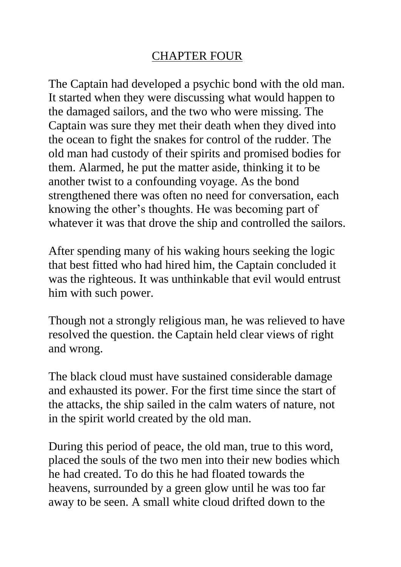## CHAPTER FOUR

The Captain had developed a psychic bond with the old man. It started when they were discussing what would happen to the damaged sailors, and the two who were missing. The Captain was sure they met their death when they dived into the ocean to fight the snakes for control of the rudder. The old man had custody of their spirits and promised bodies for them. Alarmed, he put the matter aside, thinking it to be another twist to a confounding voyage. As the bond strengthened there was often no need for conversation, each knowing the other's thoughts. He was becoming part of whatever it was that drove the ship and controlled the sailors.

After spending many of his waking hours seeking the logic that best fitted who had hired him, the Captain concluded it was the righteous. It was unthinkable that evil would entrust him with such power.

Though not a strongly religious man, he was relieved to have resolved the question. the Captain held clear views of right and wrong.

The black cloud must have sustained considerable damage and exhausted its power. For the first time since the start of the attacks, the ship sailed in the calm waters of nature, not in the spirit world created by the old man.

During this period of peace, the old man, true to this word, placed the souls of the two men into their new bodies which he had created. To do this he had floated towards the heavens, surrounded by a green glow until he was too far away to be seen. A small white cloud drifted down to the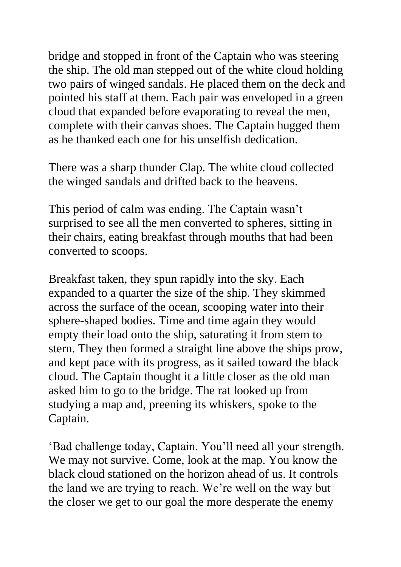bridge and stopped in front of the Captain who was steering the ship. The old man stepped out of the white cloud holding two pairs of winged sandals. He placed them on the deck and pointed his staff at them. Each pair was enveloped in a green cloud that expanded before evaporating to reveal the men, complete with their canvas shoes. The Captain hugged them as he thanked each one for his unselfish dedication.

There was a sharp thunder Clap. The white cloud collected the winged sandals and drifted back to the heavens.

This period of calm was ending. The Captain wasn't surprised to see all the men converted to spheres, sitting in their chairs, eating breakfast through mouths that had been converted to scoops.

Breakfast taken, they spun rapidly into the sky. Each expanded to a quarter the size of the ship. They skimmed across the surface of the ocean, scooping water into their sphere-shaped bodies. Time and time again they would empty their load onto the ship, saturating it from stem to stern. They then formed a straight line above the ships prow, and kept pace with its progress, as it sailed toward the black cloud. The Captain thought it a little closer as the old man asked him to go to the bridge. The rat looked up from studying a map and, preening its whiskers, spoke to the Captain.

'Bad challenge today, Captain. You'll need all your strength. We may not survive. Come, look at the map. You know the black cloud stationed on the horizon ahead of us. It controls the land we are trying to reach. We're well on the way but the closer we get to our goal the more desperate the enemy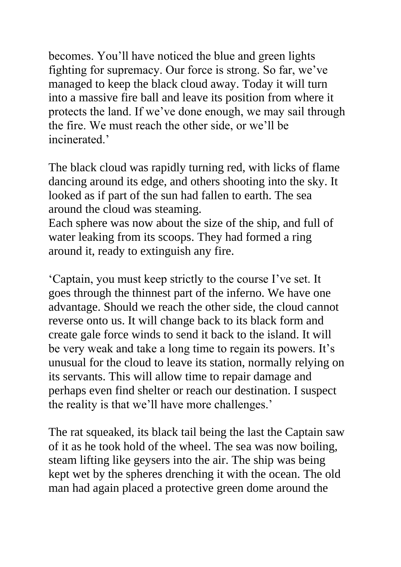becomes. You'll have noticed the blue and green lights fighting for supremacy. Our force is strong. So far, we've managed to keep the black cloud away. Today it will turn into a massive fire ball and leave its position from where it protects the land. If we've done enough, we may sail through the fire. We must reach the other side, or we'll be incinerated.'

The black cloud was rapidly turning red, with licks of flame dancing around its edge, and others shooting into the sky. It looked as if part of the sun had fallen to earth. The sea around the cloud was steaming.

Each sphere was now about the size of the ship, and full of water leaking from its scoops. They had formed a ring around it, ready to extinguish any fire.

'Captain, you must keep strictly to the course I've set. It goes through the thinnest part of the inferno. We have one advantage. Should we reach the other side, the cloud cannot reverse onto us. It will change back to its black form and create gale force winds to send it back to the island. It will be very weak and take a long time to regain its powers. It's unusual for the cloud to leave its station, normally relying on its servants. This will allow time to repair damage and perhaps even find shelter or reach our destination. I suspect the reality is that we'll have more challenges.'

The rat squeaked, its black tail being the last the Captain saw of it as he took hold of the wheel. The sea was now boiling, steam lifting like geysers into the air. The ship was being kept wet by the spheres drenching it with the ocean. The old man had again placed a protective green dome around the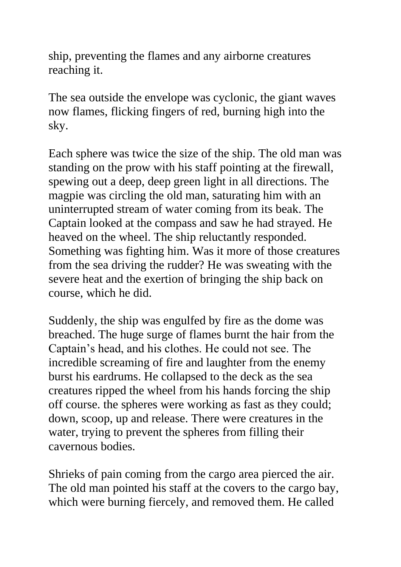ship, preventing the flames and any airborne creatures reaching it.

The sea outside the envelope was cyclonic, the giant waves now flames, flicking fingers of red, burning high into the sky.

Each sphere was twice the size of the ship. The old man was standing on the prow with his staff pointing at the firewall, spewing out a deep, deep green light in all directions. The magpie was circling the old man, saturating him with an uninterrupted stream of water coming from its beak. The Captain looked at the compass and saw he had strayed. He heaved on the wheel. The ship reluctantly responded. Something was fighting him. Was it more of those creatures from the sea driving the rudder? He was sweating with the severe heat and the exertion of bringing the ship back on course, which he did.

Suddenly, the ship was engulfed by fire as the dome was breached. The huge surge of flames burnt the hair from the Captain's head, and his clothes. He could not see. The incredible screaming of fire and laughter from the enemy burst his eardrums. He collapsed to the deck as the sea creatures ripped the wheel from his hands forcing the ship off course. the spheres were working as fast as they could; down, scoop, up and release. There were creatures in the water, trying to prevent the spheres from filling their cavernous bodies.

Shrieks of pain coming from the cargo area pierced the air. The old man pointed his staff at the covers to the cargo bay, which were burning fiercely, and removed them. He called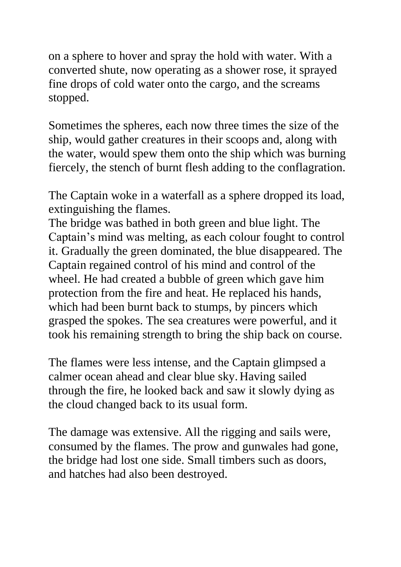on a sphere to hover and spray the hold with water. With a converted shute, now operating as a shower rose, it sprayed fine drops of cold water onto the cargo, and the screams stopped.

Sometimes the spheres, each now three times the size of the ship, would gather creatures in their scoops and, along with the water, would spew them onto the ship which was burning fiercely, the stench of burnt flesh adding to the conflagration.

The Captain woke in a waterfall as a sphere dropped its load, extinguishing the flames.

The bridge was bathed in both green and blue light. The Captain's mind was melting, as each colour fought to control it. Gradually the green dominated, the blue disappeared. The Captain regained control of his mind and control of the wheel. He had created a bubble of green which gave him protection from the fire and heat. He replaced his hands, which had been burnt back to stumps, by pincers which grasped the spokes. The sea creatures were powerful, and it took his remaining strength to bring the ship back on course.

The flames were less intense, and the Captain glimpsed a calmer ocean ahead and clear blue sky. Having sailed through the fire, he looked back and saw it slowly dying as the cloud changed back to its usual form.

The damage was extensive. All the rigging and sails were, consumed by the flames. The prow and gunwales had gone, the bridge had lost one side. Small timbers such as doors, and hatches had also been destroyed.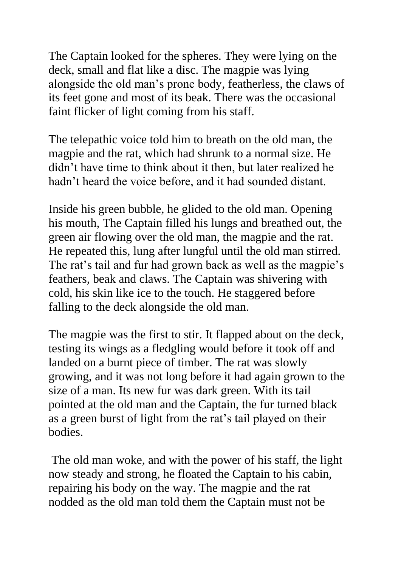The Captain looked for the spheres. They were lying on the deck, small and flat like a disc. The magpie was lying alongside the old man's prone body, featherless, the claws of its feet gone and most of its beak. There was the occasional faint flicker of light coming from his staff.

The telepathic voice told him to breath on the old man, the magpie and the rat, which had shrunk to a normal size. He didn't have time to think about it then, but later realized he hadn't heard the voice before, and it had sounded distant.

Inside his green bubble, he glided to the old man. Opening his mouth, The Captain filled his lungs and breathed out, the green air flowing over the old man, the magpie and the rat. He repeated this, lung after lungful until the old man stirred. The rat's tail and fur had grown back as well as the magpie's feathers, beak and claws. The Captain was shivering with cold, his skin like ice to the touch. He staggered before falling to the deck alongside the old man.

The magpie was the first to stir. It flapped about on the deck, testing its wings as a fledgling would before it took off and landed on a burnt piece of timber. The rat was slowly growing, and it was not long before it had again grown to the size of a man. Its new fur was dark green. With its tail pointed at the old man and the Captain, the fur turned black as a green burst of light from the rat's tail played on their bodies.

The old man woke, and with the power of his staff, the light now steady and strong, he floated the Captain to his cabin, repairing his body on the way. The magpie and the rat nodded as the old man told them the Captain must not be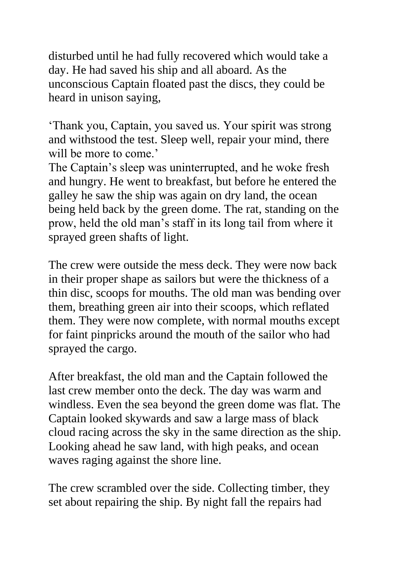disturbed until he had fully recovered which would take a day. He had saved his ship and all aboard. As the unconscious Captain floated past the discs, they could be heard in unison saying,

'Thank you, Captain, you saved us. Your spirit was strong and withstood the test. Sleep well, repair your mind, there will be more to come.'

The Captain's sleep was uninterrupted, and he woke fresh and hungry. He went to breakfast, but before he entered the galley he saw the ship was again on dry land, the ocean being held back by the green dome. The rat, standing on the prow, held the old man's staff in its long tail from where it sprayed green shafts of light.

The crew were outside the mess deck. They were now back in their proper shape as sailors but were the thickness of a thin disc, scoops for mouths. The old man was bending over them, breathing green air into their scoops, which reflated them. They were now complete, with normal mouths except for faint pinpricks around the mouth of the sailor who had sprayed the cargo.

After breakfast, the old man and the Captain followed the last crew member onto the deck. The day was warm and windless. Even the sea beyond the green dome was flat. The Captain looked skywards and saw a large mass of black cloud racing across the sky in the same direction as the ship. Looking ahead he saw land, with high peaks, and ocean waves raging against the shore line.

The crew scrambled over the side. Collecting timber, they set about repairing the ship. By night fall the repairs had